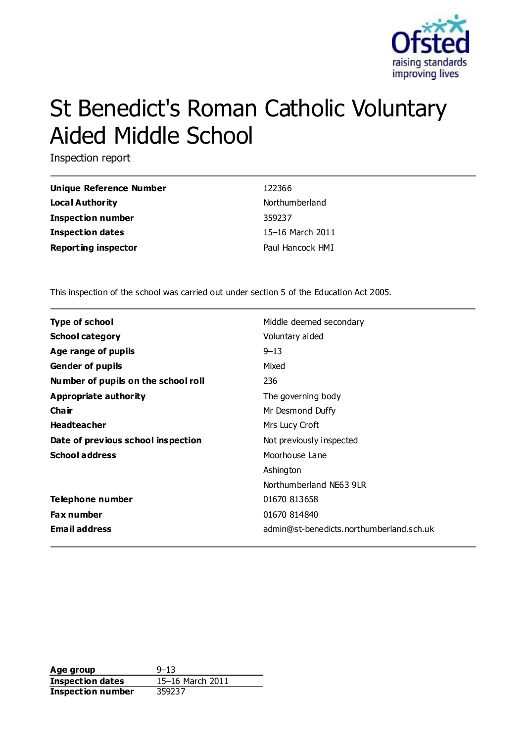

# St Benedict's Roman Catholic Voluntary Aided Middle School

Inspection report

| <b>Unique Reference Number</b> | 122366           |
|--------------------------------|------------------|
| Local Authority                | Northum berland  |
| <b>Inspection number</b>       | 359237           |
| Inspection dates               | 15–16 March 2011 |
| <b>Reporting inspector</b>     | Paul Hancock HMI |

This inspection of the school was carried out under section 5 of the Education Act 2005.

| <b>Type of school</b>               | Middle deemed secondary                  |
|-------------------------------------|------------------------------------------|
| <b>School category</b>              | Voluntary aided                          |
| Age range of pupils                 | $9 - 13$                                 |
| <b>Gender of pupils</b>             | Mixed                                    |
| Number of pupils on the school roll | 236                                      |
| Appropriate authority               | The governing body                       |
| Cha ir                              | Mr Desmond Duffy                         |
| <b>Headteacher</b>                  | Mrs Lucy Croft                           |
| Date of previous school inspection  | Not previously inspected                 |
| <b>School address</b>               | Moorhouse Lane                           |
|                                     | Ashington                                |
|                                     | Northumberland NF63 9LR                  |
| Telephone number                    | 01670 813658                             |
| <b>Fax number</b>                   | 01670 814840                             |
| <b>Email address</b>                | admin@st-benedicts.northumberland.sch.uk |

**Age group** 9-13 **Inspection dates** 15–16 March 2011 **Inspection number** 359237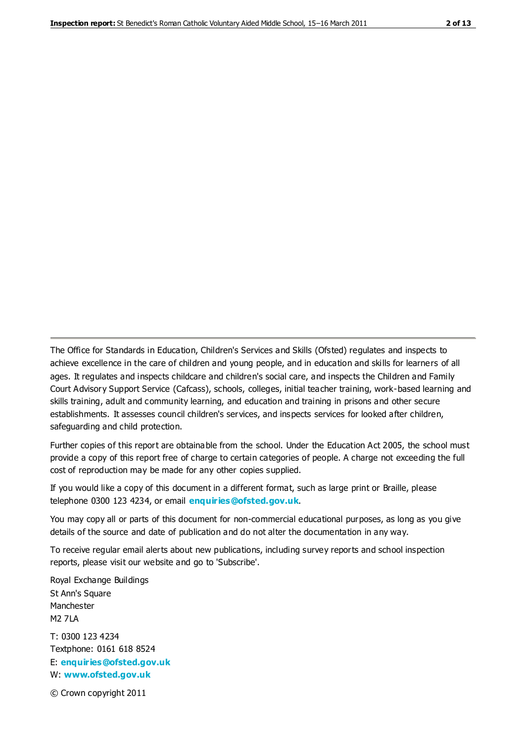The Office for Standards in Education, Children's Services and Skills (Ofsted) regulates and inspects to achieve excellence in the care of children and young people, and in education and skills for learners of all ages. It regulates and inspects childcare and children's social care, and inspects the Children and Family Court Advisory Support Service (Cafcass), schools, colleges, initial teacher training, work-based learning and skills training, adult and community learning, and education and training in prisons and other secure establishments. It assesses council children's services, and inspects services for looked after children, safeguarding and child protection.

Further copies of this report are obtainable from the school. Under the Education Act 2005, the school must provide a copy of this report free of charge to certain categories of people. A charge not exceeding the full cost of reproduction may be made for any other copies supplied.

If you would like a copy of this document in a different format, such as large print or Braille, please telephone 0300 123 4234, or email **[enquiries@ofsted.gov.uk](mailto:enquiries@ofsted.gov.uk)**.

You may copy all or parts of this document for non-commercial educational purposes, as long as you give details of the source and date of publication and do not alter the documentation in any way.

To receive regular email alerts about new publications, including survey reports and school inspection reports, please visit our website and go to 'Subscribe'.

Royal Exchange Buildings St Ann's Square Manchester M2 7LA T: 0300 123 4234 Textphone: 0161 618 8524 E: **[enquiries@ofsted.gov.uk](mailto:enquiries@ofsted.gov.uk)**

W: **[www.ofsted.gov.uk](http://www.ofsted.gov.uk/)**

© Crown copyright 2011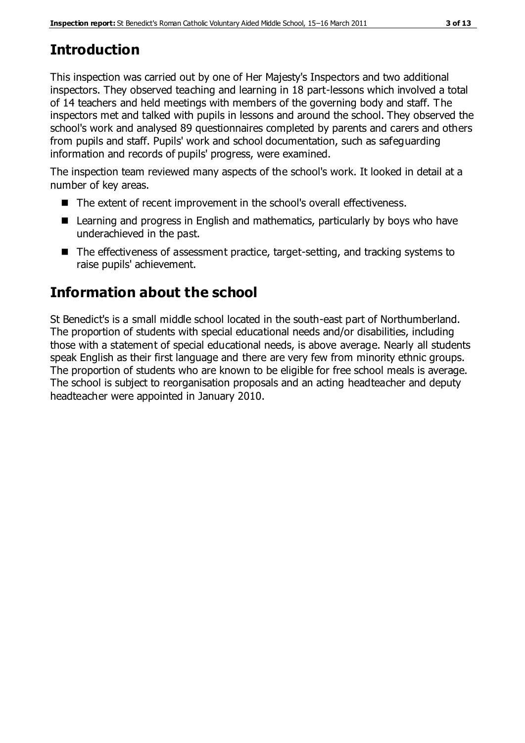# **Introduction**

This inspection was carried out by one of Her Majesty's Inspectors and two additional inspectors. They observed teaching and learning in 18 part-lessons which involved a total of 14 teachers and held meetings with members of the governing body and staff. The inspectors met and talked with pupils in lessons and around the school. They observed the school's work and analysed 89 questionnaires completed by parents and carers and others from pupils and staff. Pupils' work and school documentation, such as safeguarding information and records of pupils' progress, were examined.

The inspection team reviewed many aspects of the school's work. It looked in detail at a number of key areas.

- The extent of recent improvement in the school's overall effectiveness.
- Learning and progress in English and mathematics, particularly by boys who have underachieved in the past.
- The effectiveness of assessment practice, target-setting, and tracking systems to raise pupils' achievement.

# **Information about the school**

St Benedict's is a small middle school located in the south-east part of Northumberland. The proportion of students with special educational needs and/or disabilities, including those with a statement of special educational needs, is above average. Nearly all students speak English as their first language and there are very few from minority ethnic groups. The proportion of students who are known to be eligible for free school meals is average. The school is subject to reorganisation proposals and an acting headteacher and deputy headteacher were appointed in January 2010.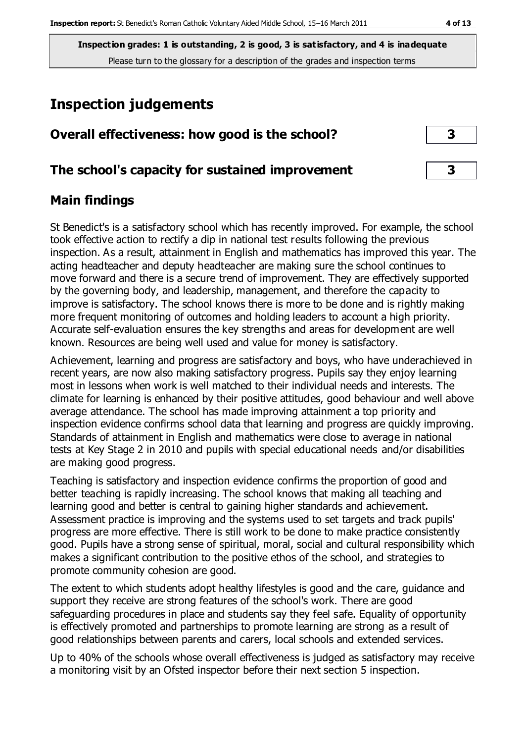**Inspection grades: 1 is outstanding, 2 is good, 3 is satisfactory, and 4 is inadequate** Please turn to the glossary for a description of the grades and inspection terms

# **Inspection judgements**

| Overall effectiveness: how good is the school?  |  |
|-------------------------------------------------|--|
| The school's capacity for sustained improvement |  |

## **Main findings**

St Benedict's is a satisfactory school which has recently improved. For example, the school took effective action to rectify a dip in national test results following the previous inspection. As a result, attainment in English and mathematics has improved this year. The acting headteacher and deputy headteacher are making sure the school continues to move forward and there is a secure trend of improvement. They are effectively supported by the governing body, and leadership, management, and therefore the capacity to improve is satisfactory. The school knows there is more to be done and is rightly making more frequent monitoring of outcomes and holding leaders to account a high priority. Accurate self-evaluation ensures the key strengths and areas for development are well known. Resources are being well used and value for money is satisfactory.

Achievement, learning and progress are satisfactory and boys, who have underachieved in recent years, are now also making satisfactory progress. Pupils say they enjoy learning most in lessons when work is well matched to their individual needs and interests. The climate for learning is enhanced by their positive attitudes, good behaviour and well above average attendance. The school has made improving attainment a top priority and inspection evidence confirms school data that learning and progress are quickly improving. Standards of attainment in English and mathematics were close to average in national tests at Key Stage 2 in 2010 and pupils with special educational needs and/or disabilities are making good progress.

Teaching is satisfactory and inspection evidence confirms the proportion of good and better teaching is rapidly increasing. The school knows that making all teaching and learning good and better is central to gaining higher standards and achievement. Assessment practice is improving and the systems used to set targets and track pupils' progress are more effective. There is still work to be done to make practice consistently good. Pupils have a strong sense of spiritual, moral, social and cultural responsibility which makes a significant contribution to the positive ethos of the school, and strategies to promote community cohesion are good.

The extent to which students adopt healthy lifestyles is good and the care, guidance and support they receive are strong features of the school's work. There are good safeguarding procedures in place and students say they feel safe. Equality of opportunity is effectively promoted and partnerships to promote learning are strong as a result of good relationships between parents and carers, local schools and extended services.

Up to 40% of the schools whose overall effectiveness is judged as satisfactory may receive a monitoring visit by an Ofsted inspector before their next section 5 inspection.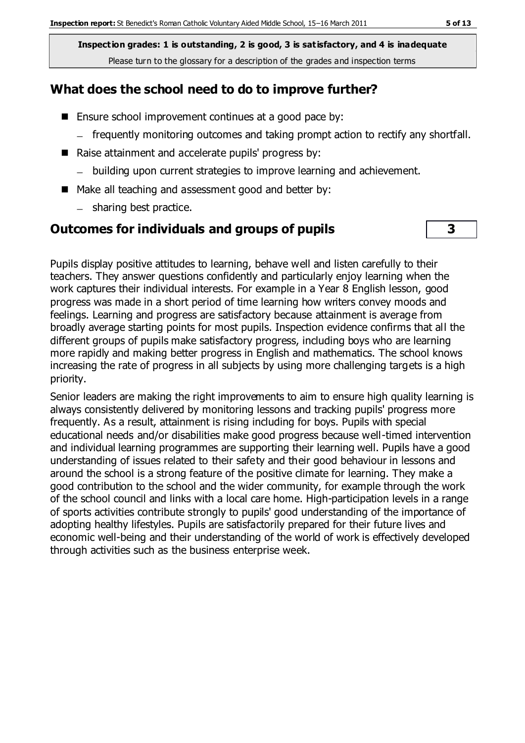**Inspection grades: 1 is outstanding, 2 is good, 3 is satisfactory, and 4 is inadequate** Please turn to the glossary for a description of the grades and inspection terms

## **What does the school need to do to improve further?**

- **Ensure school improvement continues at a good pace by:** 
	- frequently monitoring outcomes and taking prompt action to rectify any shortfall.
- Raise attainment and accelerate pupils' progress by:
	- building upon current strategies to improve learning and achievement.
- Make all teaching and assessment good and better by:
	- sharing best practice.

## **Outcomes for individuals and groups of pupils 3**

Pupils display positive attitudes to learning, behave well and listen carefully to their teachers. They answer questions confidently and particularly enjoy learning when the work captures their individual interests. For example in a Year 8 English lesson, good progress was made in a short period of time learning how writers convey moods and feelings. Learning and progress are satisfactory because attainment is average from broadly average starting points for most pupils. Inspection evidence confirms that all the different groups of pupils make satisfactory progress, including boys who are learning more rapidly and making better progress in English and mathematics. The school knows increasing the rate of progress in all subjects by using more challenging targets is a high priority.

Senior leaders are making the right improvements to aim to ensure high quality learning is always consistently delivered by monitoring lessons and tracking pupils' progress more frequently. As a result, attainment is rising including for boys. Pupils with special educational needs and/or disabilities make good progress because well-timed intervention and individual learning programmes are supporting their learning well. Pupils have a good understanding of issues related to their safety and their good behaviour in lessons and around the school is a strong feature of the positive climate for learning. They make a good contribution to the school and the wider community, for example through the work of the school council and links with a local care home. High-participation levels in a range of sports activities contribute strongly to pupils' good understanding of the importance of adopting healthy lifestyles. Pupils are satisfactorily prepared for their future lives and economic well-being and their understanding of the world of work is effectively developed through activities such as the business enterprise week.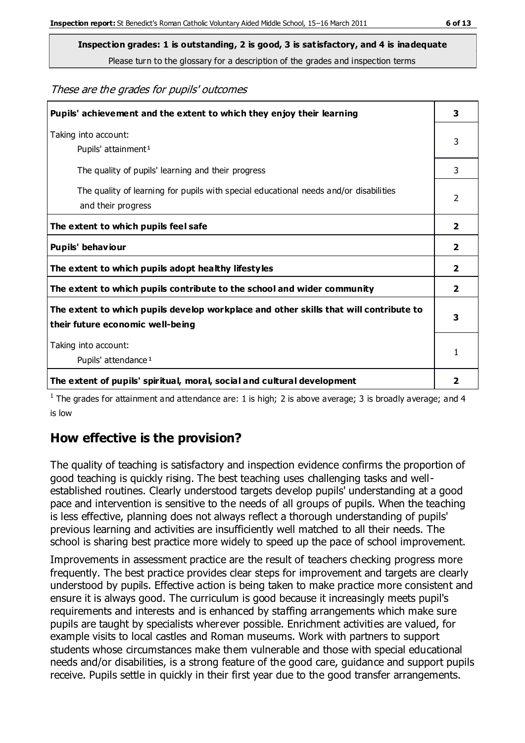Please turn to the glossary for a description of the grades and inspection terms

#### These are the grades for pupils' outcomes

| Pupils' achievement and the extent to which they enjoy their learning                                                     |                |
|---------------------------------------------------------------------------------------------------------------------------|----------------|
| Taking into account:<br>Pupils' attainment <sup>1</sup>                                                                   | 3              |
| The quality of pupils' learning and their progress                                                                        | 3              |
| The quality of learning for pupils with special educational needs and/or disabilities<br>and their progress               | $\mathfrak{p}$ |
| The extent to which pupils feel safe                                                                                      | $\mathbf{z}$   |
| Pupils' behaviour                                                                                                         | 2              |
| The extent to which pupils adopt healthy lifestyles                                                                       | 2              |
| The extent to which pupils contribute to the school and wider community                                                   | 2              |
| The extent to which pupils develop workplace and other skills that will contribute to<br>their future economic well-being |                |
| Taking into account:<br>Pupils' attendance <sup>1</sup>                                                                   |                |
| The extent of pupils' spiritual, moral, social and cultural development                                                   | 2              |

<sup>1</sup> The grades for attainment and attendance are: 1 is high; 2 is above average; 3 is broadly average; and 4 is low

## **How effective is the provision?**

The quality of teaching is satisfactory and inspection evidence confirms the proportion of good teaching is quickly rising. The best teaching uses challenging tasks and wellestablished routines. Clearly understood targets develop pupils' understanding at a good pace and intervention is sensitive to the needs of all groups of pupils. When the teaching is less effective, planning does not always reflect a thorough understanding of pupils' previous learning and activities are insufficiently well matched to all their needs. The school is sharing best practice more widely to speed up the pace of school improvement.

Improvements in assessment practice are the result of teachers checking progress more frequently. The best practice provides clear steps for improvement and targets are clearly understood by pupils. Effective action is being taken to make practice more consistent and ensure it is always good. The curriculum is good because it increasingly meets pupil's requirements and interests and is enhanced by staffing arrangements which make sure pupils are taught by specialists wherever possible. Enrichment activities are valued, for example visits to local castles and Roman museums. Work with partners to support students whose circumstances make them vulnerable and those with special educational needs and/or disabilities, is a strong feature of the good care, guidance and support pupils receive. Pupils settle in quickly in their first year due to the good transfer arrangements.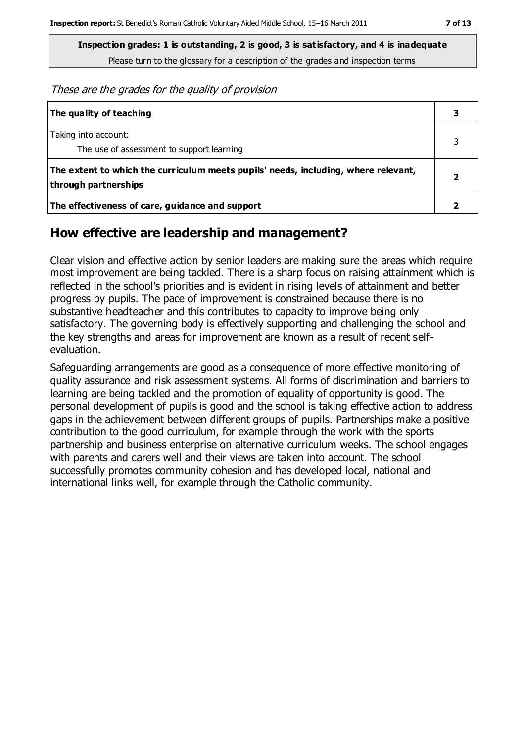These are the grades for the quality of provision

| The quality of teaching                                                                                    |  |
|------------------------------------------------------------------------------------------------------------|--|
| Taking into account:<br>The use of assessment to support learning                                          |  |
| The extent to which the curriculum meets pupils' needs, including, where relevant,<br>through partnerships |  |
| The effectiveness of care, guidance and support                                                            |  |

## **How effective are leadership and management?**

Clear vision and effective action by senior leaders are making sure the areas which require most improvement are being tackled. There is a sharp focus on raising attainment which is reflected in the school's priorities and is evident in rising levels of attainment and better progress by pupils. The pace of improvement is constrained because there is no substantive headteacher and this contributes to capacity to improve being only satisfactory. The governing body is effectively supporting and challenging the school and the key strengths and areas for improvement are known as a result of recent selfevaluation.

Safeguarding arrangements are good as a consequence of more effective monitoring of quality assurance and risk assessment systems. All forms of discrimination and barriers to learning are being tackled and the promotion of equality of opportunity is good. The personal development of pupils is good and the school is taking effective action to address gaps in the achievement between different groups of pupils. Partnerships make a positive contribution to the good curriculum, for example through the work with the sports partnership and business enterprise on alternative curriculum weeks. The school engages with parents and carers well and their views are taken into account. The school successfully promotes community cohesion and has developed local, national and international links well, for example through the Catholic community.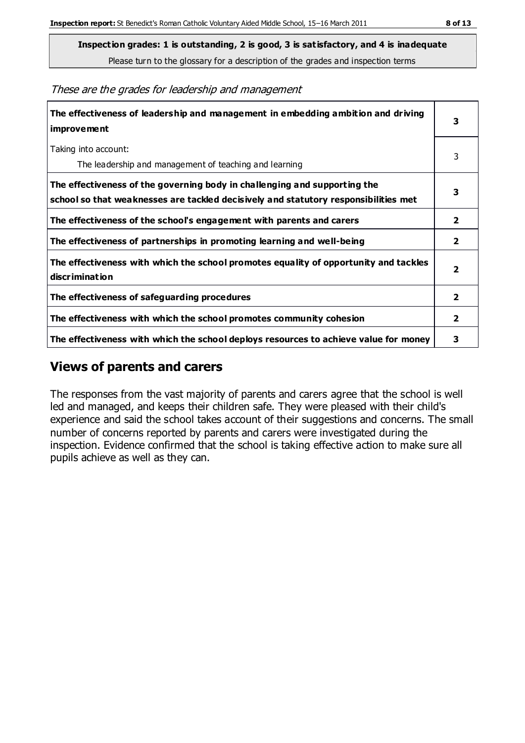**Inspection grades: 1 is outstanding, 2 is good, 3 is satisfactory, and 4 is inadequate**

Please turn to the glossary for a description of the grades and inspection terms

These are the grades for leadership and management

| The effectiveness of leadership and management in embedding ambition and driving<br>improvement                                                                  |                         |
|------------------------------------------------------------------------------------------------------------------------------------------------------------------|-------------------------|
| Taking into account:<br>The leadership and management of teaching and learning                                                                                   | 3                       |
| The effectiveness of the governing body in challenging and supporting the<br>school so that weaknesses are tackled decisively and statutory responsibilities met | 3                       |
| The effectiveness of the school's engagement with parents and carers                                                                                             |                         |
| The effectiveness of partnerships in promoting learning and well-being                                                                                           | $\mathbf{2}$            |
| The effectiveness with which the school promotes equality of opportunity and tackles<br>discrimination                                                           | $\overline{\mathbf{2}}$ |
| The effectiveness of safeguarding procedures                                                                                                                     | 2                       |
| The effectiveness with which the school promotes community cohesion                                                                                              |                         |
| The effectiveness with which the school deploys resources to achieve value for money                                                                             |                         |

#### **Views of parents and carers**

The responses from the vast majority of parents and carers agree that the school is well led and managed, and keeps their children safe. They were pleased with their child's experience and said the school takes account of their suggestions and concerns. The small number of concerns reported by parents and carers were investigated during the inspection. Evidence confirmed that the school is taking effective action to make sure all pupils achieve as well as they can.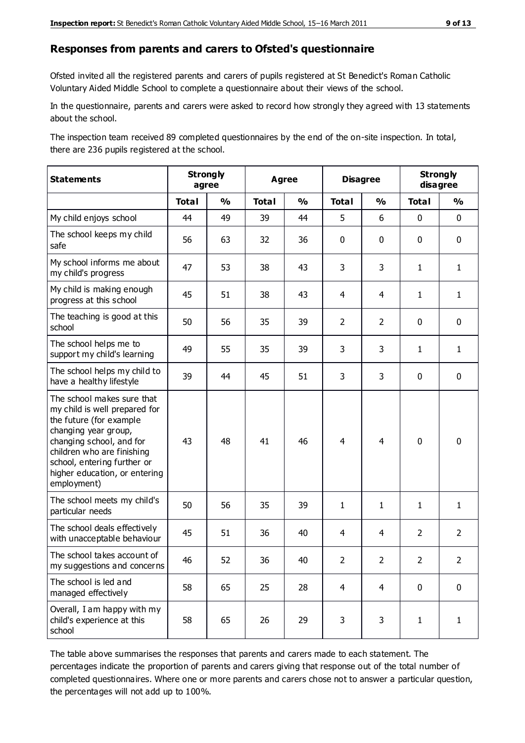#### **Responses from parents and carers to Ofsted's questionnaire**

Ofsted invited all the registered parents and carers of pupils registered at St Benedict's Roman Catholic Voluntary Aided Middle School to complete a questionnaire about their views of the school.

In the questionnaire, parents and carers were asked to record how strongly they agreed with 13 statements about the school.

The inspection team received 89 completed questionnaires by the end of the on-site inspection. In total, there are 236 pupils registered at the school.

| <b>Statements</b>                                                                                                                                                                                                                                       | <b>Strongly</b><br>agree |               | Agree        |               | <b>Disagree</b> |                | <b>Strongly</b><br>disagree |                |
|---------------------------------------------------------------------------------------------------------------------------------------------------------------------------------------------------------------------------------------------------------|--------------------------|---------------|--------------|---------------|-----------------|----------------|-----------------------------|----------------|
|                                                                                                                                                                                                                                                         | <b>Total</b>             | $\frac{1}{2}$ | <b>Total</b> | $\frac{1}{2}$ | <b>Total</b>    | $\frac{0}{0}$  | <b>Total</b>                | $\frac{0}{0}$  |
| My child enjoys school                                                                                                                                                                                                                                  | 44                       | 49            | 39           | 44            | 5               | 6              | $\mathbf 0$                 | $\mathbf 0$    |
| The school keeps my child<br>safe                                                                                                                                                                                                                       | 56                       | 63            | 32           | 36            | 0               | $\mathbf 0$    | $\mathbf 0$                 | $\mathbf 0$    |
| My school informs me about<br>my child's progress                                                                                                                                                                                                       | 47                       | 53            | 38           | 43            | 3               | 3              | $\mathbf{1}$                | $\mathbf{1}$   |
| My child is making enough<br>progress at this school                                                                                                                                                                                                    | 45                       | 51            | 38           | 43            | 4               | 4              | $\mathbf{1}$                | $\mathbf{1}$   |
| The teaching is good at this<br>school                                                                                                                                                                                                                  | 50                       | 56            | 35           | 39            | $\overline{2}$  | $\overline{2}$ | 0                           | $\mathbf 0$    |
| The school helps me to<br>support my child's learning                                                                                                                                                                                                   | 49                       | 55            | 35           | 39            | 3               | 3              | $\mathbf{1}$                | $\mathbf{1}$   |
| The school helps my child to<br>have a healthy lifestyle                                                                                                                                                                                                | 39                       | 44            | 45           | 51            | 3               | 3              | $\mathbf 0$                 | $\mathbf 0$    |
| The school makes sure that<br>my child is well prepared for<br>the future (for example<br>changing year group,<br>changing school, and for<br>children who are finishing<br>school, entering further or<br>higher education, or entering<br>employment) | 43                       | 48            | 41           | 46            | $\overline{4}$  | 4              | $\mathbf 0$                 | $\mathbf 0$    |
| The school meets my child's<br>particular needs                                                                                                                                                                                                         | 50                       | 56            | 35           | 39            | $\mathbf{1}$    | $\mathbf{1}$   | $\mathbf{1}$                | $\mathbf{1}$   |
| The school deals effectively<br>with unacceptable behaviour                                                                                                                                                                                             | 45                       | 51            | 36           | 40            | 4               | $\overline{4}$ | $\overline{2}$              | $\overline{2}$ |
| The school takes account of<br>my suggestions and concerns                                                                                                                                                                                              | 46                       | 52            | 36           | 40            | 2               | $\overline{2}$ | $\overline{2}$              | $\overline{2}$ |
| The school is led and<br>managed effectively                                                                                                                                                                                                            | 58                       | 65            | 25           | 28            | $\overline{4}$  | $\overline{4}$ | $\mathbf 0$                 | $\mathbf 0$    |
| Overall, I am happy with my<br>child's experience at this<br>school                                                                                                                                                                                     | 58                       | 65            | 26           | 29            | 3               | 3              | $\mathbf{1}$                | $\mathbf{1}$   |

The table above summarises the responses that parents and carers made to each statement. The percentages indicate the proportion of parents and carers giving that response out of the total number of completed questionnaires. Where one or more parents and carers chose not to answer a particular question, the percentages will not add up to 100%.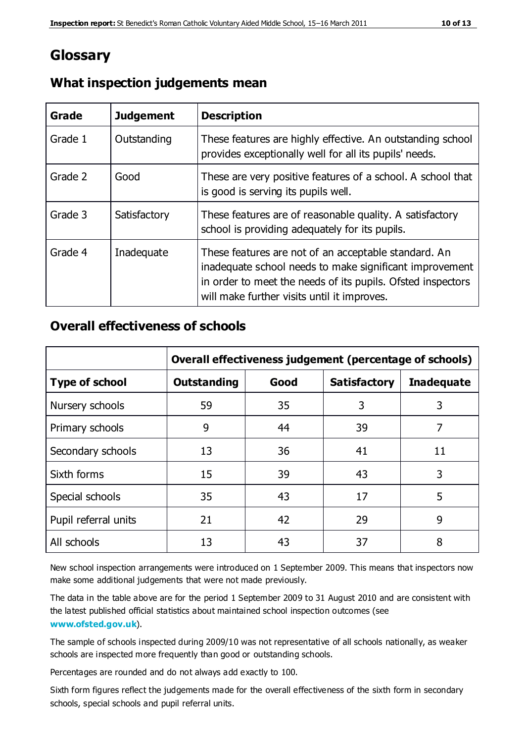## **Glossary**

| Grade   | <b>Judgement</b> | <b>Description</b>                                                                                                                                                                                                            |
|---------|------------------|-------------------------------------------------------------------------------------------------------------------------------------------------------------------------------------------------------------------------------|
| Grade 1 | Outstanding      | These features are highly effective. An outstanding school<br>provides exceptionally well for all its pupils' needs.                                                                                                          |
| Grade 2 | Good             | These are very positive features of a school. A school that<br>is good is serving its pupils well.                                                                                                                            |
| Grade 3 | Satisfactory     | These features are of reasonable quality. A satisfactory<br>school is providing adequately for its pupils.                                                                                                                    |
| Grade 4 | Inadequate       | These features are not of an acceptable standard. An<br>inadequate school needs to make significant improvement<br>in order to meet the needs of its pupils. Ofsted inspectors<br>will make further visits until it improves. |

#### **What inspection judgements mean**

#### **Overall effectiveness of schools**

|                       | Overall effectiveness judgement (percentage of schools) |      |                     |                   |
|-----------------------|---------------------------------------------------------|------|---------------------|-------------------|
| <b>Type of school</b> | <b>Outstanding</b>                                      | Good | <b>Satisfactory</b> | <b>Inadequate</b> |
| Nursery schools       | 59                                                      | 35   | 3                   | 3                 |
| Primary schools       | 9                                                       | 44   | 39                  | 7                 |
| Secondary schools     | 13                                                      | 36   | 41                  | 11                |
| Sixth forms           | 15                                                      | 39   | 43                  | 3                 |
| Special schools       | 35                                                      | 43   | 17                  | 5                 |
| Pupil referral units  | 21                                                      | 42   | 29                  | 9                 |
| All schools           | 13                                                      | 43   | 37                  | 8                 |

New school inspection arrangements were introduced on 1 September 2009. This means that inspectors now make some additional judgements that were not made previously.

The data in the table above are for the period 1 September 2009 to 31 August 2010 and are consistent with the latest published official statistics about maintained school inspection outcomes (see **[www.ofsted.gov.uk](http://www.ofsted.gov.uk/)**).

The sample of schools inspected during 2009/10 was not representative of all schools nationally, as weaker schools are inspected more frequently than good or outstanding schools.

Percentages are rounded and do not always add exactly to 100.

Sixth form figures reflect the judgements made for the overall effectiveness of the sixth form in secondary schools, special schools and pupil referral units.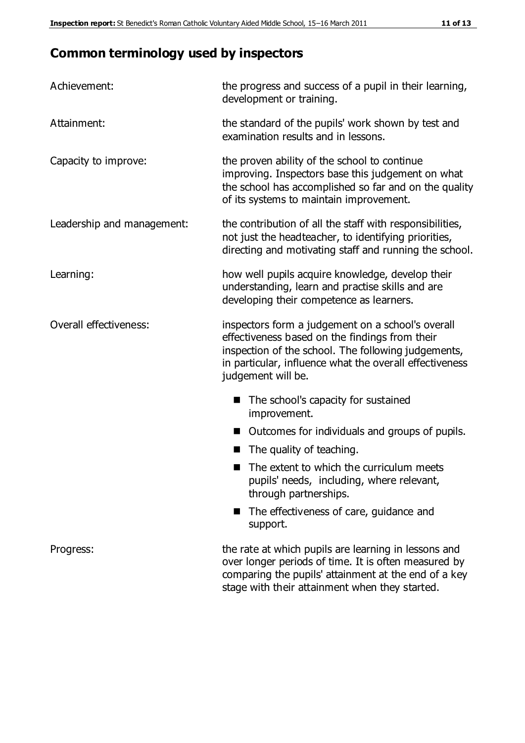# **Common terminology used by inspectors**

| Achievement:               | the progress and success of a pupil in their learning,<br>development or training.                                                                                                                                                          |  |  |
|----------------------------|---------------------------------------------------------------------------------------------------------------------------------------------------------------------------------------------------------------------------------------------|--|--|
| Attainment:                | the standard of the pupils' work shown by test and<br>examination results and in lessons.                                                                                                                                                   |  |  |
| Capacity to improve:       | the proven ability of the school to continue<br>improving. Inspectors base this judgement on what<br>the school has accomplished so far and on the quality<br>of its systems to maintain improvement.                                       |  |  |
| Leadership and management: | the contribution of all the staff with responsibilities,<br>not just the headteacher, to identifying priorities,<br>directing and motivating staff and running the school.                                                                  |  |  |
| Learning:                  | how well pupils acquire knowledge, develop their<br>understanding, learn and practise skills and are<br>developing their competence as learners.                                                                                            |  |  |
| Overall effectiveness:     | inspectors form a judgement on a school's overall<br>effectiveness based on the findings from their<br>inspection of the school. The following judgements,<br>in particular, influence what the overall effectiveness<br>judgement will be. |  |  |
|                            | The school's capacity for sustained<br>improvement.                                                                                                                                                                                         |  |  |
|                            | Outcomes for individuals and groups of pupils.                                                                                                                                                                                              |  |  |
|                            | The quality of teaching.                                                                                                                                                                                                                    |  |  |
|                            | The extent to which the curriculum meets<br>pupils' needs, including, where relevant,<br>through partnerships.                                                                                                                              |  |  |
|                            | The effectiveness of care, guidance and<br>support.                                                                                                                                                                                         |  |  |
| Progress:                  | the rate at which pupils are learning in lessons and<br>over longer periods of time. It is often measured by<br>comparing the pupils' attainment at the end of a key                                                                        |  |  |

stage with their attainment when they started.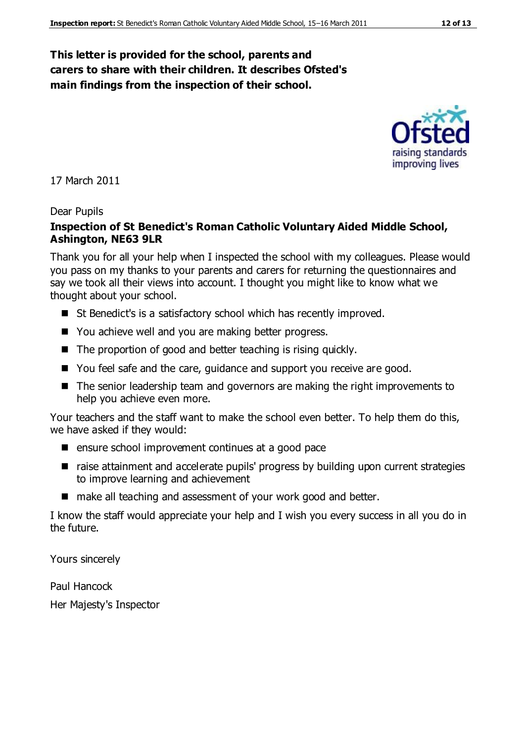#### **This letter is provided for the school, parents and carers to share with their children. It describes Ofsted's main findings from the inspection of their school.**

17 March 2011

#### Dear Pupils

#### **Inspection of St Benedict's Roman Catholic Voluntary Aided Middle School, Ashington, NE63 9LR**

Thank you for all your help when I inspected the school with my colleagues. Please would you pass on my thanks to your parents and carers for returning the questionnaires and say we took all their views into account. I thought you might like to know what we thought about your school.

- St Benedict's is a satisfactory school which has recently improved.
- You achieve well and you are making better progress.
- $\blacksquare$  The proportion of good and better teaching is rising quickly.
- You feel safe and the care, guidance and support you receive are good.
- The senior leadership team and governors are making the right improvements to help you achieve even more.

Your teachers and the staff want to make the school even better. To help them do this, we have asked if they would:

- ensure school improvement continues at a good pace
- raise attainment and accelerate pupils' progress by building upon current strategies to improve learning and achievement
- make all teaching and assessment of your work good and better.

I know the staff would appreciate your help and I wish you every success in all you do in the future.

Yours sincerely

Paul Hancock

Her Majesty's Inspector